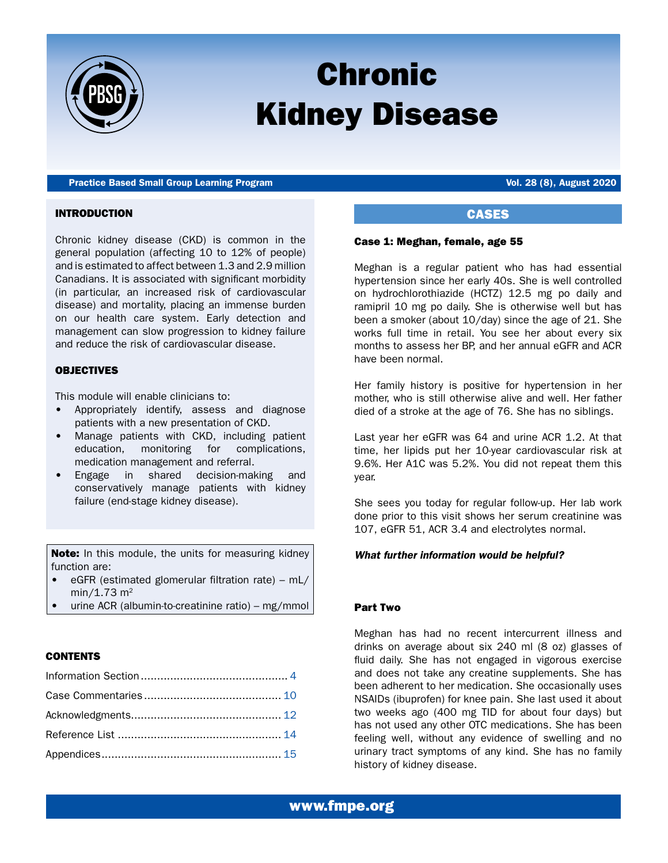

# Chronic Kidney Disease

Practice Based Small Group Learning Program Vol. 28 (8), August 2020

# INTRODUCTION

Chronic kidney disease (CKD) is common in the general population (affecting 10 to 12% of people) and is estimated to affect between 1.3 and 2.9 million Canadians. It is associated with significant morbidity (in particular, an increased risk of cardiovascular disease) and mortality, placing an immense burden on our health care system. Early detection and management can slow progression to kidney failure and reduce the risk of cardiovascular disease.

# OBJECTIVES

This module will enable clinicians to:

- Appropriately identify, assess and diagnose patients with a new presentation of CKD.
- $\bullet$ Manage patients with CKD, including patient education, monitoring for complications, medication management and referral.
- Engage in shared decision-making and conservatively manage patients with kidney failure (end-stage kidney disease).

Note: In this module, the units for measuring kidney function are:

- eGFR (estimated glomerular filtration rate) mL/  $min/1.73$  m<sup>2</sup>
- urine ACR (albumin-to-creatinine ratio) mg/mmol

# **CONTENTS**

<span id="page-0-1"></span><span id="page-0-0"></span>

# **CASES**

### Case 1: Meghan, female, age 55

Meghan is a regular patient who has had essential hypertension since her early 40s. She is well controlled on hydrochlorothiazide (HCTZ) 12.5 mg po daily and ramipril 10 mg po daily. She is otherwise well but has been a smoker (about 10/day) since the age of 21. She works full time in retail. You see her about every six months to assess her BP, and her annual eGFR and ACR have been normal.

Her family history is positive for hypertension in her mother, who is still otherwise alive and well. Her father died of a stroke at the age of 76. She has no siblings.

Last year her eGFR was 64 and urine ACR 1.2. At that time, her lipids put her 10-year cardiovascular risk at 9.6%. Her A1C was 5.2%. You did not repeat them this year.

She sees you today for regular follow-up. Her lab work done prior to this visit shows her serum creatinine was 107, eGFR 51, ACR 3.4 and electrolytes normal.

### *What further information would be helpful?*

### Part Two

Meghan has had no recent intercurrent illness and drinks on average about six 240 ml (8 oz) glasses of fluid daily. She has not engaged in vigorous exercise and does not take any creatine supplements. She has been adherent to her medication. She occasionally uses NSAIDs (ibuprofen) for knee pain. She last used it about two weeks ago (400 mg TID for about four days) but has not used any other OTC medications. She has been feeling well, without any evidence of swelling and no urinary tract symptoms of any kind. She has no family history of kidney disease.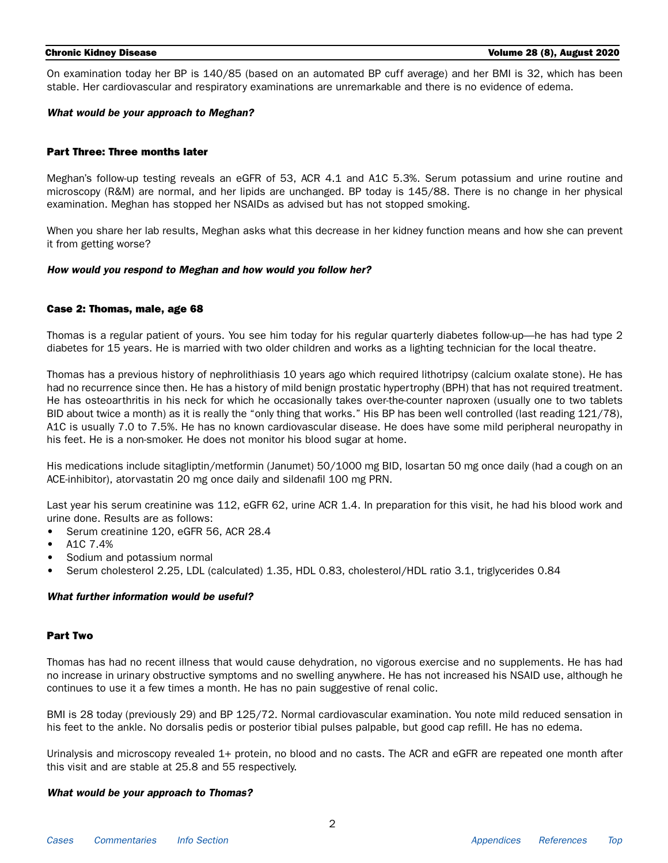On examination today her BP is 140/85 (based on an automated BP cuff average) and her BMI is 32, which has been stable. Her cardiovascular and respiratory examinations are unremarkable and there is no evidence of edema.

### *What would be your approach to Meghan?*

# Part Three: Three months later

Meghan's follow-up testing reveals an eGFR of 53, ACR 4.1 and A1C 5.3%. Serum potassium and urine routine and microscopy (R&M) are normal, and her lipids are unchanged. BP today is 145/88. There is no change in her physical examination. Meghan has stopped her NSAIDs as advised but has not stopped smoking.

When you share her lab results, Meghan asks what this decrease in her kidney function means and how she can prevent it from getting worse?

# *How would you respond to Meghan and how would you follow her?*

# Case 2: Thomas, male, age 68

Thomas is a regular patient of yours. You see him today for his regular quarterly diabetes follow-up—he has had type 2 diabetes for 15 years. He is married with two older children and works as a lighting technician for the local theatre.

Thomas has a previous history of nephrolithiasis 10 years ago which required lithotripsy (calcium oxalate stone). He has had no recurrence since then. He has a history of mild benign prostatic hypertrophy (BPH) that has not required treatment. He has osteoarthritis in his neck for which he occasionally takes over-the-counter naproxen (usually one to two tablets BID about twice a month) as it is really the "only thing that works." His BP has been well controlled (last reading 121/78), A1C is usually 7.0 to 7.5%. He has no known cardiovascular disease. He does have some mild peripheral neuropathy in his feet. He is a non-smoker. He does not monitor his blood sugar at home.

His medications include sitagliptin/metformin (Janumet) 50/1000 mg BID, losartan 50 mg once daily (had a cough on an ACE-inhibitor), atorvastatin 20 mg once daily and sildenafil 100 mg PRN.

Last year his serum creatinine was 112, eGFR 62, urine ACR 1.4. In preparation for this visit, he had his blood work and urine done. Results are as follows:

- Serum creatinine 120, eGFR 56, ACR 28.4
- A1C 7.4%
- Sodium and potassium normal
- Serum cholesterol 2.25, LDL (calculated) 1.35, HDL 0.83, cholesterol/HDL ratio 3.1, triglycerides 0.84

# *What further information would be useful?*

### Part Two

Thomas has had no recent illness that would cause dehydration, no vigorous exercise and no supplements. He has had no increase in urinary obstructive symptoms and no swelling anywhere. He has not increased his NSAID use, although he continues to use it a few times a month. He has no pain suggestive of renal colic.

BMI is 28 today (previously 29) and BP 125/72. Normal cardiovascular examination. You note mild reduced sensation in his feet to the ankle. No dorsalis pedis or posterior tibial pulses palpable, but good cap refill. He has no edema.

Urinalysis and microscopy revealed 1+ protein, no blood and no casts. The ACR and eGFR are repeated one month after this visit and are stable at 25.8 and 55 respectively.

### *What would be your approach to Thomas?*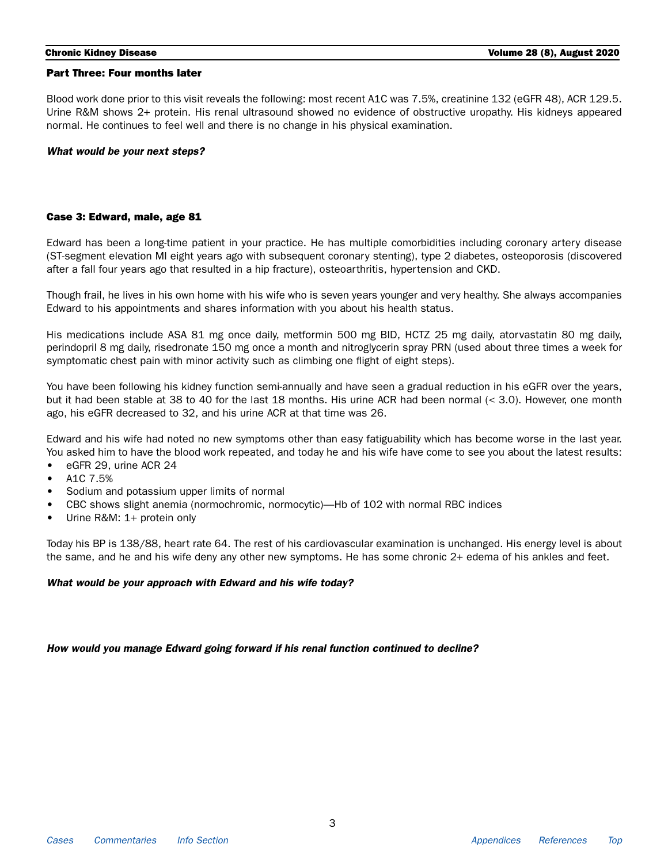### Part Three: Four months later

Blood work done prior to this visit reveals the following: most recent A1C was 7.5%, creatinine 132 (eGFR 48), ACR 129.5. Urine R&M shows 2+ protein. His renal ultrasound showed no evidence of obstructive uropathy. His kidneys appeared normal. He continues to feel well and there is no change in his physical examination.

### *What would be your next steps?*

### Case 3: Edward, male, age 81

Edward has been a long-time patient in your practice. He has multiple comorbidities including coronary artery disease (ST-segment elevation MI eight years ago with subsequent coronary stenting), type 2 diabetes, osteoporosis (discovered after a fall four years ago that resulted in a hip fracture), osteoarthritis, hypertension and CKD.

Though frail, he lives in his own home with his wife who is seven years younger and very healthy. She always accompanies Edward to his appointments and shares information with you about his health status.

His medications include ASA 81 mg once daily, metformin 500 mg BID, HCTZ 25 mg daily, atorvastatin 80 mg daily, perindopril 8 mg daily, risedronate 150 mg once a month and nitroglycerin spray PRN (used about three times a week for symptomatic chest pain with minor activity such as climbing one flight of eight steps).

You have been following his kidney function semi-annually and have seen a gradual reduction in his eGFR over the years, but it had been stable at 38 to 40 for the last 18 months. His urine ACR had been normal (< 3.0). However, one month ago, his eGFR decreased to 32, and his urine ACR at that time was 26.

Edward and his wife had noted no new symptoms other than easy fatiguability which has become worse in the last year. You asked him to have the blood work repeated, and today he and his wife have come to see you about the latest results:

- eGFR 29, urine ACR 24
- A1C 7.5%
- Sodium and potassium upper limits of normal
- CBC shows slight anemia (normochromic, normocytic)—Hb of 102 with normal RBC indices
- Urine R&M: 1+ protein only

Today his BP is 138/88, heart rate 64. The rest of his cardiovascular examination is unchanged. His energy level is about the same, and he and his wife deny any other new symptoms. He has some chronic 2+ edema of his ankles and feet.

# *What would be your approach with Edward and his wife today?*

*How would you manage Edward going forward if his renal function continued to decline?*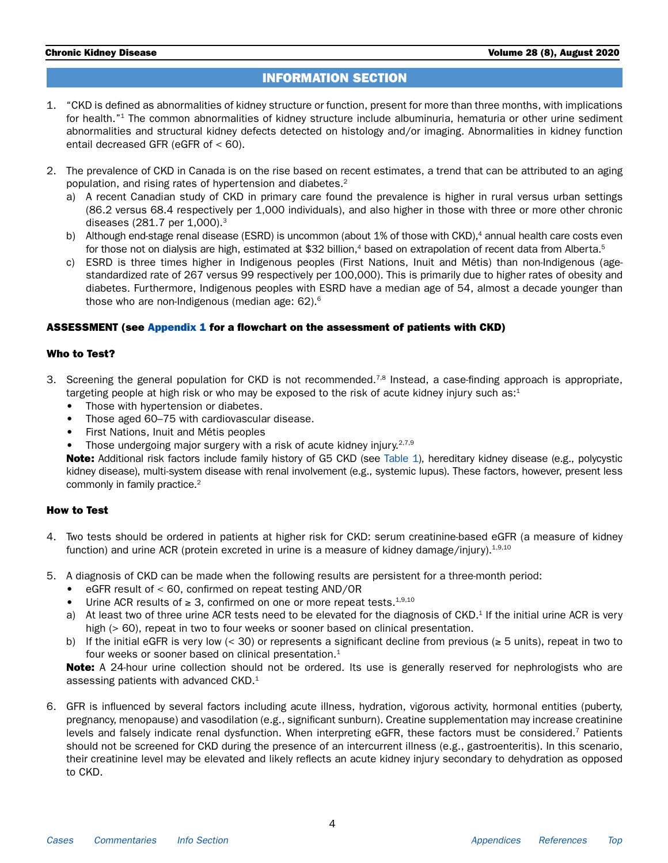# <span id="page-3-0"></span>INFORMATION SECTION

- 1. "CKD is defined as abnormalities of kidney structure or function, present for more than three months, with implications for health."<sup>1</sup> The common abnormalities of kidney structure include albuminuria, hematuria or other urine sediment abnormalities and structural kidney defects detected on histology and/or imaging. Abnormalities in kidney function entail decreased GFR (eGFR of < 60).
- 2. The prevalence of CKD in Canada is on the rise based on recent estimates, a trend that can be attributed to an aging population, and rising rates of hypertension and diabetes.2
	- a) A recent Canadian study of CKD in primary care found the prevalence is higher in rural versus urban settings (86.2 versus 68.4 respectively per 1,000 individuals), and also higher in those with three or more other chronic diseases (281.7 per 1,000).3
	- b) Although end-stage renal disease (ESRD) is uncommon (about 1% of those with CKD),<sup>4</sup> annual health care costs even for those not on dialysis are high, estimated at \$32 billion,<sup>4</sup> based on extrapolation of recent data from Alberta.<sup>5</sup>
	- c) ESRD is three times higher in Indigenous peoples (First Nations, Inuit and Métis) than non-Indigenous (agestandardized rate of 267 versus 99 respectively per 100,000). This is primarily due to higher rates of obesity and diabetes. Furthermore, Indigenous peoples with ESRD have a median age of 54, almost a decade younger than those who are non-Indigenous (median age: 62).6

# ASSESSMENT (see [Appendix 1](#page-14-0) for a flowchart on the assessment of patients with CKD)

# Who to Test?

- <span id="page-3-2"></span>3. Screening the general population for CKD is not recommended.<sup>7,8</sup> Instead, a case-finding approach is appropriate, targeting people at high risk or who may be exposed to the risk of acute kidney injury such as: $1$ 
	- Those with hypertension or diabetes.
	- Those aged 60–75 with cardiovascular disease.
	- First Nations, Inuit and Métis peoples
	- Those undergoing major surgery with a risk of acute kidney injury.<sup>2,7,9</sup>

Note: Additional risk factors include family history of G5 CKD (see [Table 1\)](#page-4-0), hereditary kidney disease (e.g., polycystic kidney disease), multi-system disease with renal involvement (e.g., systemic lupus). These factors, however, present less commonly in family practice.<sup>2</sup>

# How to Test

- <span id="page-3-4"></span>4. Two tests should be ordered in patients at higher risk for CKD: serum creatinine-based eGFR (a measure of kidney function) and urine ACR (protein excreted in urine is a measure of kidney damage/injury). $1.9,10$
- <span id="page-3-1"></span>5. A diagnosis of CKD can be made when the following results are persistent for a three-month period:
	- eGFR result of < 60, confirmed on repeat testing AND/OR
	- Urine ACR results of  $\geq 3$ , confirmed on one or more repeat tests.<sup>1,9,10</sup>
	- a) At least two of three urine ACR tests need to be elevated for the diagnosis of  $CKD<sup>1</sup>$  If the initial urine ACR is very high (> 60), repeat in two to four weeks or sooner based on clinical presentation.
	- b) If the initial eGFR is very low (< 30) or represents a significant decline from previous ( $\geq$  5 units), repeat in two to four weeks or sooner based on clinical presentation.<sup>1</sup>

Note: A 24-hour urine collection should not be ordered. Its use is generally reserved for nephrologists who are assessing patients with advanced CKD.<sup>1</sup>

<span id="page-3-3"></span>6. GFR is influenced by several factors including acute illness, hydration, vigorous activity, hormonal entities (puberty, pregnancy, menopause) and vasodilation (e.g., significant sunburn). Creatine supplementation may increase creatinine levels and falsely indicate renal dysfunction. When interpreting eGFR, these factors must be considered.7 Patients should not be screened for CKD during the presence of an intercurrent illness (e.g., gastroenteritis). In this scenario, their creatinine level may be elevated and likely reflects an acute kidney injury secondary to dehydration as opposed to CKD.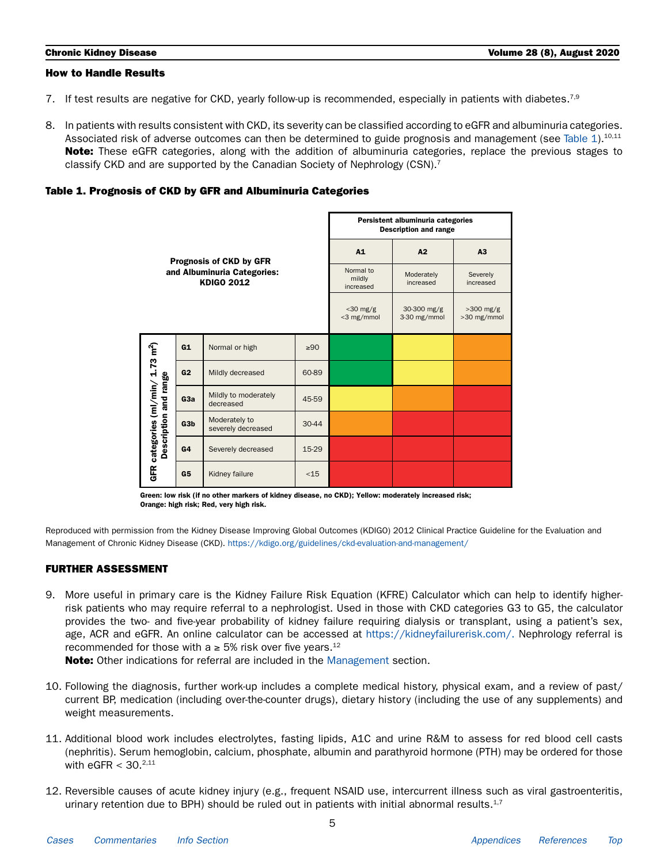# How to Handle Results

- 7. If test results are negative for CKD, yearly follow-up is recommended, especially in patients with diabetes.<sup>7,9</sup>
- 8. In patients with results consistent with CKD, its severity can be classified according to eGFR and albuminuria categories. Associated risk of adverse outcomes can then be determined to guide prognosis and management (see [Table 1\)](#page-4-0).<sup>10,11</sup> Note: These eGFR categories, along with the addition of albuminuria categories, replace the previous stages to classify CKD and are supported by the Canadian Society of Nephrology (CSN).<sup>7</sup>

# <span id="page-4-0"></span>Table 1. Prognosis of CKD by GFR and Albuminuria Categories

| Prognosis of CKD by GFR<br>and Albuminuria Categories:<br><b>KDIGO 2012</b> |                |                                     | Persistent albuminuria categories<br><b>Description and range</b> |                           |                             |                            |
|-----------------------------------------------------------------------------|----------------|-------------------------------------|-------------------------------------------------------------------|---------------------------|-----------------------------|----------------------------|
|                                                                             |                |                                     | A1                                                                | A2                        | A3                          |                            |
|                                                                             |                |                                     | Normal to<br>mildly<br>increased                                  | Moderately<br>increased   | Severely<br>increased       |                            |
|                                                                             |                |                                     |                                                                   | $<$ 30 mg/g<br><3 mg/mmol | 30-300 mg/g<br>3-30 mg/mmol | $>300$ mg/g<br>>30 mg/mmol |
|                                                                             | G1             | Normal or high                      | $\geq 90$                                                         |                           |                             |                            |
|                                                                             | G <sub>2</sub> | Mildly decreased                    | 60-89                                                             |                           |                             |                            |
| GFR categories (ml/min/ 1.73 m <sup>2</sup> )<br>Description and range      | G3a            | Mildly to moderately<br>decreased   | 45-59                                                             |                           |                             |                            |
|                                                                             | G3b            | Moderately to<br>severely decreased | 30-44                                                             |                           |                             |                            |
|                                                                             | G4             | Severely decreased                  | 15-29                                                             |                           |                             |                            |
|                                                                             | G <sub>5</sub> | Kidney failure                      | $<$ 15                                                            |                           |                             |                            |

Green: low risk (if no other markers of kidney disease, no CKD); Yellow: moderately increased risk; Orange: high risk; Red, very high risk.

Reproduced with permission from the Kidney Disease Improving Global Outcomes (KDIGO) 2012 Clinical Practice Guideline for the Evaluation and Management of Chronic Kidney Disease (CKD). <https://kdigo.org/guidelines/ckd-evaluation-and-management/>

# FURTHER ASSESSMENT

<span id="page-4-1"></span>9. More useful in primary care is the Kidney Failure Risk Equation (KFRE) Calculator which can help to identify higherrisk patients who may require referral to a nephrologist. Used in those with CKD categories G3 to G5, the calculator provides the two- and five-year probability of kidney failure requiring dialysis or transplant, using a patient's sex, age, ACR and eGFR. An online calculator can be accessed at [https://kidneyfailurerisk.com/.](https://kidneyfailurerisk.com/) Nephrology referral is recommended for those with a  $\geq$  5% risk over five years.<sup>12</sup>

**Note:** Other indications for referral are included in the [Management](#page-5-0) section.

- <span id="page-4-2"></span>10. Following the diagnosis, further work-up includes a complete medical history, physical exam, and a review of past/ current BP, medication (including over-the-counter drugs), dietary history (including the use of any supplements) and weight measurements.
- 11. Additional blood work includes electrolytes, fasting lipids, A1C and urine R&M to assess for red blood cell casts (nephritis). Serum hemoglobin, calcium, phosphate, albumin and parathyroid hormone (PTH) may be ordered for those with eGFR  $<$  30.<sup>2,11</sup>
- <span id="page-4-3"></span>12. Reversible causes of acute kidney injury (e.g., frequent NSAID use, intercurrent illness such as viral gastroenteritis, urinary retention due to BPH) should be ruled out in patients with initial abnormal results. $1.7$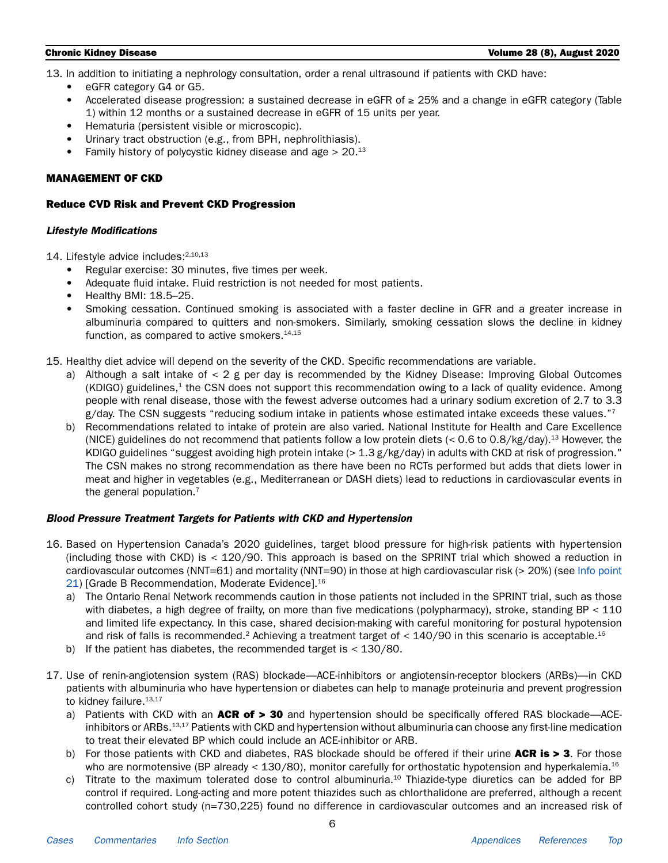13. In addition to initiating a nephrology consultation, order a renal ultrasound if patients with CKD have:

- eGFR category G4 or G5.
- Accelerated disease progression: a sustained decrease in eGFR of ≥ 25% and a change in eGFR category (Table 1) within 12 months or a sustained decrease in eGFR of 15 units per year.
- Hematuria (persistent visible or microscopic).
- Urinary tract obstruction (e.g., from BPH, nephrolithiasis).
- Family history of polycystic kidney disease and age  $> 20.13$

# <span id="page-5-0"></span>MANAGEMENT OF CKD

# Reduce CVD Risk and Prevent CKD Progression

# *Lifestyle Modifications*

<span id="page-5-1"></span>14. Lifestyle advice includes: 2,10,13

- Regular exercise: 30 minutes, five times per week.
- Adequate fluid intake. Fluid restriction is not needed for most patients.
- Healthy BMI: 18.5–25.
- Smoking cessation. Continued smoking is associated with a faster decline in GFR and a greater increase in albuminuria compared to quitters and non-smokers. Similarly, smoking cessation slows the decline in kidney function, as compared to active smokers.<sup>14,15</sup>

<span id="page-5-2"></span>15. Healthy diet advice will depend on the severity of the CKD. Specific recommendations are variable.

- a) Although a salt intake of < 2 g per day is recommended by the Kidney Disease: Improving Global Outcomes  $(KDIGO)$  guidelines,<sup>1</sup> the CSN does not support this recommendation owing to a lack of quality evidence. Among people with renal disease, those with the fewest adverse outcomes had a urinary sodium excretion of 2.7 to 3.3  $g$ /day. The CSN suggests "reducing sodium intake in patients whose estimated intake exceeds these values."<sup>7</sup>
- b) Recommendations related to intake of protein are also varied. National Institute for Health and Care Excellence (NICE) guidelines do not recommend that patients follow a low protein diets  $(< 0.6$  to  $0.8$ /kg/day).<sup>13</sup> However, the KDIGO guidelines "suggest avoiding high protein intake (> 1.3 g/kg/day) in adults with CKD at risk of progression." The CSN makes no strong recommendation as there have been no RCTs performed but adds that diets lower in meat and higher in vegetables (e.g., Mediterranean or DASH diets) lead to reductions in cardiovascular events in the general population.<sup>7</sup>

# *Blood Pressure Treatment Targets for Patients with CKD and Hypertension*

- <span id="page-5-3"></span>16. Based on Hypertension Canada's 2020 guidelines, target blood pressure for high-risk patients with hypertension (including those with CKD) is < 120/90. This approach is based on the SPRINT trial which showed a reduction in cardiovascular outcomes (NNT=61) and mortality (NNT=90) in those at high cardiovascular risk (> 20%) (see [Info point](#page-6-0) [21](#page-6-0)) [Grade B Recommendation, Moderate Evidence].<sup>16</sup>
	- a) The Ontario Renal Network recommends caution in those patients not included in the SPRINT trial, such as those with diabetes, a high degree of frailty, on more than five medications (polypharmacy), stroke, standing  $BP < 110$ and limited life expectancy. In this case, shared decision-making with careful monitoring for postural hypotension and risk of falls is recommended.<sup>2</sup> Achieving a treatment target of  $<$  140/90 in this scenario is acceptable.<sup>16</sup>
	- b) If the patient has diabetes, the recommended target is < 130/80.
- <span id="page-5-5"></span><span id="page-5-4"></span>17. Use of renin-angiotension system (RAS) blockade—ACE-inhibitors or angiotensin-receptor blockers (ARBs)—in CKD patients with albuminuria who have hypertension or diabetes can help to manage proteinuria and prevent progression to kidney failure.<sup>13,17</sup>
	- a) Patients with CKD with an  $ACR$  of  $> 30$  and hypertension should be specifically offered RAS blockade—ACEinhibitors or ARBs.13,17 Patients with CKD and hypertension without albuminuria can choose any first-line medication to treat their elevated BP which could include an ACE-inhibitor or ARB.
	- b) For those patients with CKD and diabetes, RAS blockade should be offered if their urine  $ACR$  is  $> 3$ . For those who are normotensive (BP already < 130/80), monitor carefully for orthostatic hypotension and hyperkalemia.<sup>16</sup>
	- c) Titrate to the maximum tolerated dose to control albuminuria.10 Thiazide-type diuretics can be added for BP control if required. Long-acting and more potent thiazides such as chlorthalidone are preferred, although a recent controlled cohort study (n=730,225) found no difference in cardiovascular outcomes and an increased risk of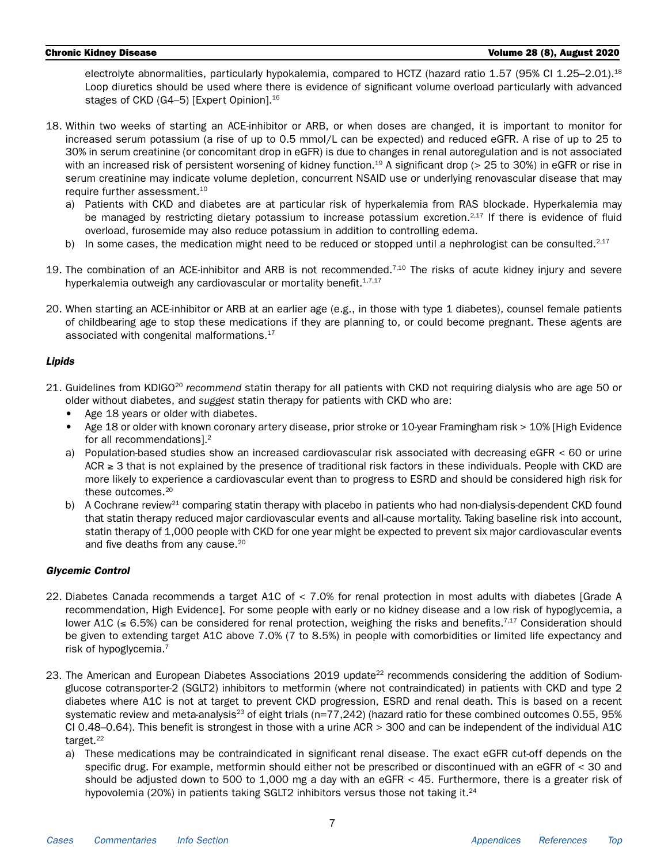electrolyte abnormalities, particularly hypokalemia, compared to HCTZ (hazard ratio 1.57 (95% CI 1.25–2.01).<sup>18</sup> Loop diuretics should be used where there is evidence of significant volume overload particularly with advanced stages of CKD (G4–5) [Expert Opinion].<sup>16</sup>

- <span id="page-6-1"></span>18. Within two weeks of starting an ACE-inhibitor or ARB, or when doses are changed, it is important to monitor for increased serum potassium (a rise of up to 0.5 mmol/L can be expected) and reduced eGFR. A rise of up to 25 to 30% in serum creatinine (or concomitant drop in eGFR) is due to changes in renal autoregulation and is not associated with an increased risk of persistent worsening of kidney function.<sup>19</sup> A significant drop ( $>$  25 to 30%) in eGFR or rise in serum creatinine may indicate volume depletion, concurrent NSAID use or underlying renovascular disease that may require further assessment.<sup>10</sup>
	- a) Patients with CKD and diabetes are at particular risk of hyperkalemia from RAS blockade. Hyperkalemia may be managed by restricting dietary potassium to increase potassium excretion.<sup>2,17</sup> If there is evidence of fluid overload, furosemide may also reduce potassium in addition to controlling edema.
	- b) In some cases, the medication might need to be reduced or stopped until a nephrologist can be consulted. $^{2,17}$
- 19. The combination of an ACE-inhibitor and ARB is not recommended.<sup>7,10</sup> The risks of acute kidney injury and severe hyperkalemia outweigh any cardiovascular or mortality benefit.<sup>1,7,17</sup>
- 20. When starting an ACE-inhibitor or ARB at an earlier age (e.g., in those with type 1 diabetes), counsel female patients of childbearing age to stop these medications if they are planning to, or could become pregnant. These agents are associated with congenital malformations.<sup>17</sup>

# *Lipids*

- <span id="page-6-0"></span>21. Guidelines from KDIGO20 *recommend* statin therapy for all patients with CKD not requiring dialysis who are age 50 or older without diabetes, and *suggest* statin therapy for patients with CKD who are:
	- Age 18 years or older with diabetes.
	- Age 18 or older with known coronary artery disease, prior stroke or 10-year Framingham risk > 10% [High Evidence for all recommendations].2
	- a) Population-based studies show an increased cardiovascular risk associated with decreasing eGFR < 60 or urine ACR ≥ 3 that is not explained by the presence of traditional risk factors in these individuals. People with CKD are more likely to experience a cardiovascular event than to progress to ESRD and should be considered high risk for these outcomes.<sup>20</sup>
	- b) A Cochrane review<sup>21</sup> comparing statin therapy with placebo in patients who had non-dialysis-dependent CKD found that statin therapy reduced major cardiovascular events and all-cause mortality. Taking baseline risk into account, statin therapy of 1,000 people with CKD for one year might be expected to prevent six major cardiovascular events and five deaths from any cause.<sup>20</sup>

# *Glycemic Control*

- <span id="page-6-2"></span>22. Diabetes Canada recommends a target A1C of < 7.0% for renal protection in most adults with diabetes [Grade A recommendation, High Evidence]. For some people with early or no kidney disease and a low risk of hypoglycemia, a lower A1C ( $\leq$  6.5%) can be considered for renal protection, weighing the risks and benefits.<sup>7,17</sup> Consideration should be given to extending target A1C above 7.0% (7 to 8.5%) in people with comorbidities or limited life expectancy and risk of hypoglycemia.7
- <span id="page-6-3"></span>23. The American and European Diabetes Associations 2019 update<sup>22</sup> recommends considering the addition of Sodiumglucose cotransporter-2 (SGLT2) inhibitors to metformin (where not contraindicated) in patients with CKD and type 2 diabetes where A1C is not at target to prevent CKD progression, ESRD and renal death. This is based on a recent systematic review and meta-analysis<sup>23</sup> of eight trials ( $n=77,242$ ) (hazard ratio for these combined outcomes 0.55, 95% CI 0.48–0.64). This benefit is strongest in those with a urine ACR > 300 and can be independent of the individual A1C target.<sup>22</sup>
	- a) These medications may be contraindicated in significant renal disease. The exact eGFR cut-off depends on the specific drug. For example, metformin should either not be prescribed or discontinued with an eGFR of < 30 and should be adjusted down to 500 to 1,000 mg a day with an eGFR < 45. Furthermore, there is a greater risk of hypovolemia (20%) in patients taking SGLT2 inhibitors versus those not taking it.24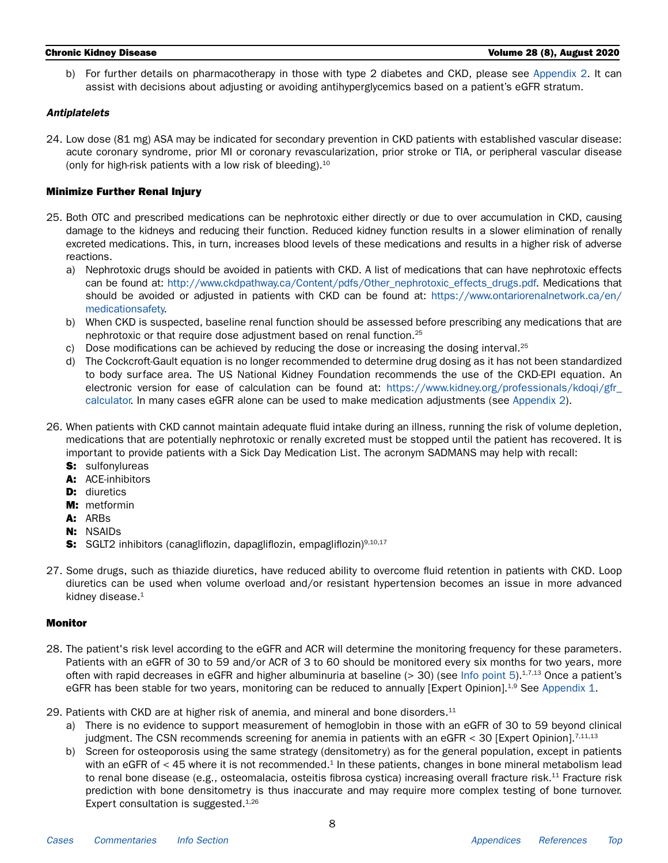b) For further details on pharmacotherapy in those with type 2 diabetes and CKD, please see [Appendix 2](#page-16-0). It can assist with decisions about adjusting or avoiding antihyperglycemics based on a patient's eGFR stratum.

# *Antiplatelets*

24. Low dose (81 mg) ASA may be indicated for secondary prevention in CKD patients with established vascular disease: acute coronary syndrome, prior MI or coronary revascularization, prior stroke or TIA, or peripheral vascular disease (only for high-risk patients with a low risk of bleeding).10

# Minimize Further Renal Injury

- <span id="page-7-0"></span>25. Both OTC and prescribed medications can be nephrotoxic either directly or due to over accumulation in CKD, causing damage to the kidneys and reducing their function. Reduced kidney function results in a slower elimination of renally excreted medications. This, in turn, increases blood levels of these medications and results in a higher risk of adverse reactions.
	- a) Nephrotoxic drugs should be avoided in patients with CKD. A list of medications that can have nephrotoxic effects can be found at: [http://www.ckdpathway.ca/Content/pdfs/Other\\_nephrotoxic\\_effects\\_drugs.pdf](http://www.ckdpathway.ca/Content/pdfs/Other_nephrotoxic_effects_drugs.pdf). Medications that should be avoided or adjusted in patients with CKD can be found at: [https://www.ontariorenalnetwork.ca/en/](https://www.ontariorenalnetwork.ca/en/medicationsafety) [medicationsafety](https://www.ontariorenalnetwork.ca/en/medicationsafety).
	- b) When CKD is suspected, baseline renal function should be assessed before prescribing any medications that are nephrotoxic or that require dose adjustment based on renal function.25
	- c) Dose modifications can be achieved by reducing the dose or increasing the dosing interval.<sup>25</sup>
	- d) The Cockcroft-Gault equation is no longer recommended to determine drug dosing as it has not been standardized to body surface area. The US National Kidney Foundation recommends the use of the CKD-EPI equation. An electronic version for ease of calculation can be found at: [https://www.kidney.org/professionals/kdoqi/gfr\\_](https://www.kidney.org/professionals/kdoqi/gfr_calculator) [calculator](https://www.kidney.org/professionals/kdoqi/gfr_calculator). In many cases eGFR alone can be used to make medication adjustments (see [Appendix 2\)](#page-16-0).
- <span id="page-7-1"></span>26. When patients with CKD cannot maintain adequate fluid intake during an illness, running the risk of volume depletion, medications that are potentially nephrotoxic or renally excreted must be stopped until the patient has recovered. It is important to provide patients with a Sick Day Medication List. The acronym SADMANS may help with recall:
	- S: sulfonylureas
	- A: ACE-inhibitors
	- **D:** diuretics
	- **M:** metformin
	- A: ARBs
	- N: NSAIDs
	- S: SGLT2 inhibitors (canagliflozin, dapagliflozin, empagliflozin)<sup>9,10,17</sup>
- 27. Some drugs, such as thiazide diuretics, have reduced ability to overcome fluid retention in patients with CKD. Loop diuretics can be used when volume overload and/or resistant hypertension becomes an issue in more advanced kidney disease.<sup>1</sup>

# Monitor

- 28. The patient's risk level according to the eGFR and ACR will determine the monitoring frequency for these parameters. Patients with an eGFR of 30 to 59 and/or ACR of 3 to 60 should be monitored every six months for two years, more often with rapid decreases in eGFR and higher albuminuria at baseline ( $>$  30) (see [Info point 5\)](#page-3-1).<sup>1,7,13</sup> Once a patient's eGFR has been stable for two years, monitoring can be reduced to annually [Expert Opinion].<sup>1,9</sup> See [Appendix 1.](#page-14-0)
- 29. Patients with CKD are at higher risk of anemia, and mineral and bone disorders.<sup>11</sup>
	- a) There is no evidence to support measurement of hemoglobin in those with an eGFR of 30 to 59 beyond clinical judgment. The CSN recommends screening for anemia in patients with an eGFR  $<$  30 [Expert Opinion].<sup>7,11,13</sup>
	- b) Screen for osteoporosis using the same strategy (densitometry) as for the general population, except in patients with an eGFR of  $<$  45 where it is not recommended.<sup>1</sup> In these patients, changes in bone mineral metabolism lead to renal bone disease (e.g., osteomalacia, osteitis fibrosa cystica) increasing overall fracture risk.<sup>11</sup> Fracture risk prediction with bone densitometry is thus inaccurate and may require more complex testing of bone turnover. Expert consultation is suggested. $1,26$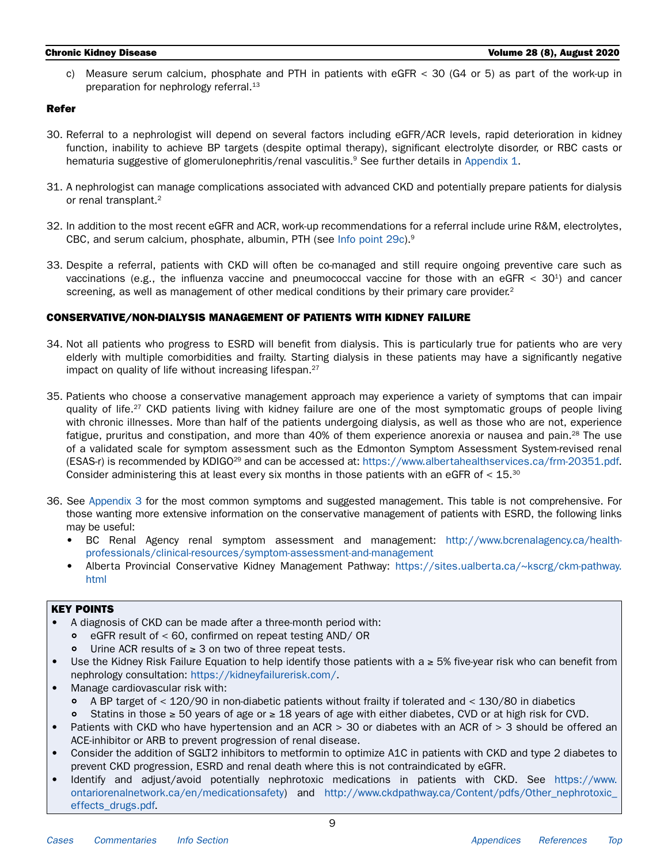<span id="page-8-0"></span>c) Measure serum calcium, phosphate and PTH in patients with eGFR < 30 (G4 or 5) as part of the work-up in preparation for nephrology referral.<sup>13</sup>

# Refer

- <span id="page-8-2"></span>30. Referral to a nephrologist will depend on several factors including eGFR/ACR levels, rapid deterioration in kidney function, inability to achieve BP targets (despite optimal therapy), significant electrolyte disorder, or RBC casts or hematuria suggestive of glomerulonephritis/renal vasculitis.<sup>9</sup> See further details in [Appendix 1.](#page-14-0)
- 31. A nephrologist can manage complications associated with advanced CKD and potentially prepare patients for dialysis or renal transplant.<sup>2</sup>
- 32. In addition to the most recent eGFR and ACR, work-up recommendations for a referral include urine R&M, electrolytes, CBC, and serum calcium, phosphate, albumin, PTH (see [Info point 29c\)](#page-8-0).9
- <span id="page-8-1"></span>33. Despite a referral, patients with CKD will often be co-managed and still require ongoing preventive care such as vaccinations (e.g., the influenza vaccine and pneumococcal vaccine for those with an eGFR  $<$  30<sup>1</sup>) and cancer screening, as well as management of other medical conditions by their primary care provider.<sup>2</sup>

# CONSERVATIVE/NON-DIALYSIS MANAGEMENT OF PATIENTS WITH KIDNEY FAILURE

- 34. Not all patients who progress to ESRD will benefit from dialysis. This is particularly true for patients who are very elderly with multiple comorbidities and frailty. Starting dialysis in these patients may have a significantly negative impact on quality of life without increasing lifespan.<sup>27</sup>
- <span id="page-8-3"></span>35. Patients who choose a conservative management approach may experience a variety of symptoms that can impair quality of life.27 CKD patients living with kidney failure are one of the most symptomatic groups of people living with chronic illnesses. More than half of the patients undergoing dialysis, as well as those who are not, experience fatigue, pruritus and constipation, and more than 40% of them experience anorexia or nausea and pain.<sup>28</sup> The use of a validated scale for symptom assessment such as the Edmonton Symptom Assessment System-revised renal (ESAS-r) is recommended by KDIGO29 and can be accessed at: <https://www.albertahealthservices.ca/frm-20351.pdf>. Consider administering this at least every six months in those patients with an eGFR of  $< 15^{30}$
- 36. See [Appendix 3](#page-17-0) for the most common symptoms and suggested management. This table is not comprehensive. For those wanting more extensive information on the conservative management of patients with ESRD, the following links may be useful:
	- BC Renal Agency renal symptom assessment and management: [http://www.bcrenalagency.ca/health](http://www.bcrenalagency.ca/health-professionals/clinical-resources/symptom-assessment-and-management)[professionals/clinical-resources/symptom-assessment-and-management](http://www.bcrenalagency.ca/health-professionals/clinical-resources/symptom-assessment-and-management)
	- Alberta Provincial Conservative Kidney Management Pathway: [https://sites.ualberta.ca/~kscrg/ckm-pathway.](https://sites.ualberta.ca/~kscrg/ckm-pathway.html) [html](https://sites.ualberta.ca/~kscrg/ckm-pathway.html)

# KEY POINTS

- A diagnosis of CKD can be made after a three-month period with:
	- eGFR result of < 60, confirmed on repeat testing AND/ OR
	- Urine ACR results of ≥ 3 on two of three repeat tests.
- Use the Kidney Risk Failure Equation to help identify those patients with a ≥ 5% five-year risk who can benefit from nephrology consultation: <https://kidneyfailurerisk.com/>.
- Manage cardiovascular risk with:
	- A BP target of < 120/90 in non-diabetic patients without frailty if tolerated and < 130/80 in diabetics
	- Statins in those ≥ 50 years of age or ≥ 18 years of age with either diabetes, CVD or at high risk for CVD.
- Patients with CKD who have hypertension and an ACR > 30 or diabetes with an ACR of > 3 should be offered an ACE-inhibitor or ARB to prevent progression of renal disease.
- Consider the addition of SGLT2 inhibitors to metformin to optimize A1C in patients with CKD and type 2 diabetes to prevent CKD progression, ESRD and renal death where this is not contraindicated by eGFR.
- Identify and adjust/avoid potentially nephrotoxic medications in patients with CKD. See [https://www.](https://www.ontariorenalnetwork.ca/en/medicationsafety) [ontariorenalnetwork.ca/en/medicationsafety](https://www.ontariorenalnetwork.ca/en/medicationsafety)) and [http://www.ckdpathway.ca/Content/pdfs/Other\\_nephrotoxic\\_](http://www.ckdpathway.ca/Content/pdfs/Other_nephrotoxic_effects_drugs.pdf) [effects\\_drugs.pdf.](http://www.ckdpathway.ca/Content/pdfs/Other_nephrotoxic_effects_drugs.pdf)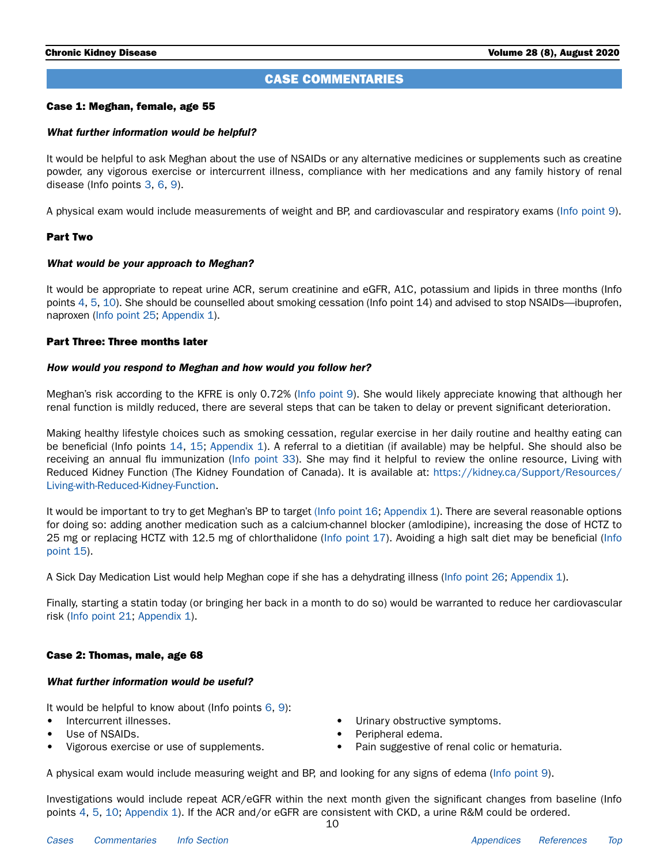# <span id="page-9-0"></span>CASE COMMENTARIES

### Case 1: Meghan, female, age 55

### *What further information would be helpful?*

It would be helpful to ask Meghan about the use of NSAIDs or any alternative medicines or supplements such as creatine powder, any vigorous exercise or intercurrent illness, compliance with her medications and any family history of renal disease (Info points [3,](#page-3-2) [6,](#page-3-3) [9\)](#page-4-1).

A physical exam would include measurements of weight and BP, and cardiovascular and respiratory exams ([Info point 9\)](#page-4-1).

# Part Two

# *What would be your approach to Meghan?*

It would be appropriate to repeat urine ACR, serum creatinine and eGFR, A1C, potassium and lipids in three months (Info points [4,](#page-3-4) [5,](#page-3-1) [10](#page-4-2)). She should be counselled about smoking cessation (Info point 14) and advised to stop NSAIDs—ibuprofen, naproxen [\(Info point 25;](#page-7-0) [Appendix 1](#page-14-0)).

# Part Three: Three months later

### *How would you respond to Meghan and how would you follow her?*

Meghan's risk according to the KFRE is only 0.72% ([Info point 9\)](#page-4-1). She would likely appreciate knowing that although her renal function is mildly reduced, there are several steps that can be taken to delay or prevent significant deterioration.

Making healthy lifestyle choices such as smoking cessation, regular exercise in her daily routine and healthy eating can be beneficial (Info points [14,](#page-5-1) [15](#page-5-2); [Appendix 1\)](#page-14-0). A referral to a dietitian (if available) may be helpful. She should also be receiving an annual flu immunization ([Info point 33\)](#page-8-1). She may find it helpful to review the online resource, Living with Reduced Kidney Function (The Kidney Foundation of Canada). It is available at: [https://kidney.ca/Support/Resources/](https://kidney.ca/Support/Resources/Living-with-Reduced-Kidney-Function) [Living-with-Reduced-Kidney-Function.](https://kidney.ca/Support/Resources/Living-with-Reduced-Kidney-Function)

It would be important to try to get Meghan's BP to target [\(Info point 16;](#page-5-3) [Appendix 1](#page-14-0)). There are several reasonable options for doing so: adding another medication such as a calcium-channel blocker (amlodipine), increasing the dose of HCTZ to 25 mg or replacing HCTZ with 12.5 mg of chlorthalidone [\(Info point 17\)](#page-5-4). Avoiding a high salt diet may be beneficial ([Info](#page-5-2) [point 15\)](#page-5-2).

A Sick Day Medication List would help Meghan cope if she has a dehydrating illness ([Info point 26](#page-7-1); [Appendix 1\)](#page-14-0).

Finally, starting a statin today (or bringing her back in a month to do so) would be warranted to reduce her cardiovascular risk ([Info point 21;](#page-6-0) [Appendix 1](#page-14-0)).

# Case 2: Thomas, male, age 68

# *What further information would be useful?*

It would be helpful to know about (Info points  $6, 9$  $6, 9$ ):

- Intercurrent illnesses.
- Use of NSAIDs.
- Vigorous exercise or use of supplements.
- Urinary obstructive symptoms.
- Peripheral edema.
- Pain suggestive of renal colic or hematuria.

A physical exam would include measuring weight and BP, and looking for any signs of edema [\(Info point 9](#page-4-1)).

Investigations would include repeat ACR/eGFR within the next month given the significant changes from baseline (Info points [4,](#page-3-4) [5,](#page-3-1) [10;](#page-4-2) [Appendix 1](#page-14-0)). If the ACR and/or eGFR are consistent with CKD, a urine R&M could be ordered.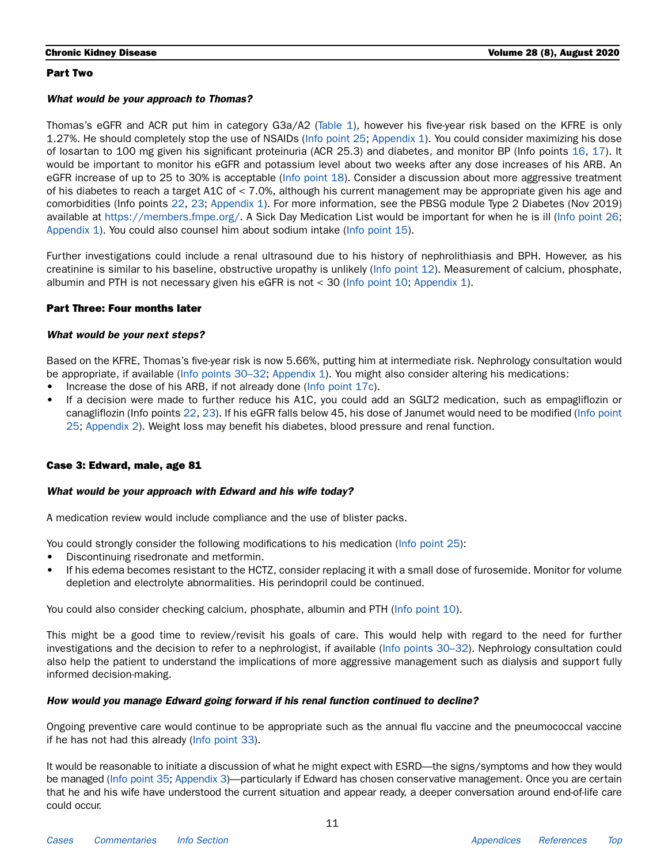### Part Two

# *What would be your approach to Thomas?*

Thomas's eGFR and ACR put him in category G3a/A2 ([Table 1\)](#page-4-0), however his five-year risk based on the KFRE is only 1.27%. He should completely stop the use of NSAIDs ([Info point 25;](#page-7-0) [Appendix 1\)](#page-14-0). You could consider maximizing his dose of losartan to 100 mg given his significant proteinuria (ACR 25.3) and diabetes, and monitor BP (Info points [16,](#page-5-3) [17](#page-5-4)). It would be important to monitor his eGFR and potassium level about two weeks after any dose increases of his ARB. An eGFR increase of up to 25 to 30% is acceptable [\(Info point 18](#page-6-1)). Consider a discussion about more aggressive treatment of his diabetes to reach a target A1C of < 7.0%, although his current management may be appropriate given his age and comorbidities (Info points [22](#page-6-2), [23](#page-6-3); [Appendix 1\)](#page-14-0). For more information, see the PBSG module Type 2 Diabetes (Nov 2019) available at [https://members.fmpe.org/.](https://members.fmpe.org/) A Sick Day Medication List would be important for when he is ill ([Info point 26](#page-7-1); [Appendix 1](#page-14-0)). You could also counsel him about sodium intake ([Info point 15\)](#page-5-2).

Further investigations could include a renal ultrasound due to his history of nephrolithiasis and BPH. However, as his creatinine is similar to his baseline, obstructive uropathy is unlikely [\(Info point 12](#page-4-3)). Measurement of calcium, phosphate, albumin and PTH is not necessary given his eGFR is not  $<$  30 ([Info point 10;](#page-4-2) [Appendix 1](#page-14-0)).

# Part Three: Four months later

# *What would be your next steps?*

Based on the KFRE, Thomas's five-year risk is now 5.66%, putting him at intermediate risk. Nephrology consultation would be appropriate, if available [\(Info points 30–32;](#page-8-2) [Appendix 1](#page-14-0)). You might also consider altering his medications:

- Increase the dose of his ARB, if not already done ([Info point 17c\)](#page-5-5).
- If a decision were made to further reduce his A1C, you could add an SGLT2 medication, such as empagliflozin or canagliflozin (Info points [22](#page-6-2)[, 23\)](#page-6-3). If his eGFR falls below 45, his dose of Janumet would need to be modified ([Info point](#page-7-0) [25;](#page-7-0) [Appendix 2](#page-16-0)). Weight loss may benefit his diabetes, blood pressure and renal function.

# Case 3: Edward, male, age 81

# *What would be your approach with Edward and his wife today?*

A medication review would include compliance and the use of blister packs.

You could strongly consider the following modifications to his medication ([Info point 25\)](#page-7-0):

- Discontinuing risedronate and metformin.
- If his edema becomes resistant to the HCTZ, consider replacing it with a small dose of furosemide. Monitor for volume depletion and electrolyte abnormalities. His perindopril could be continued.

You could also consider checking calcium, phosphate, albumin and PTH ([Info point 10\)](#page-4-2).

This might be a good time to review/revisit his goals of care. This would help with regard to the need for further investigations and the decision to refer to a nephrologist, if available ([Info points 30–32](#page-8-2)). Nephrology consultation could also help the patient to understand the implications of more aggressive management such as dialysis and support fully informed decision-making.

# *How would you manage Edward going forward if his renal function continued to decline?*

Ongoing preventive care would continue to be appropriate such as the annual flu vaccine and the pneumococcal vaccine if he has not had this already ([Info point 33](#page-8-1)).

It would be reasonable to initiate a discussion of what he might expect with ESRD—the signs/symptoms and how they would be managed [\(Info point 35](#page-8-3); [Appendix 3\)](#page-17-0)—particularly if Edward has chosen conservative management. Once you are certain that he and his wife have understood the current situation and appear ready, a deeper conversation around end-of-life care could occur.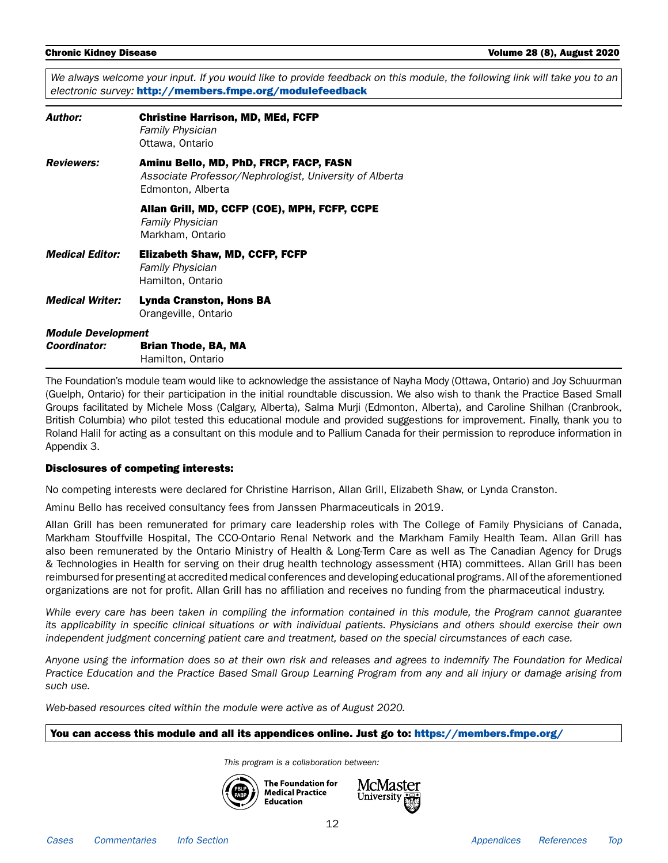We always welcome your input. If you would like to provide feedback on this module, the following link will take you to an *electronic survey:* <http://members.fmpe.org/modulefeedback>

<span id="page-11-0"></span>

| Author:                   | <b>Christine Harrison, MD, MEd, FCFP</b><br><b>Family Physician</b><br>Ottawa, Ontario                                 |
|---------------------------|------------------------------------------------------------------------------------------------------------------------|
| <b>Reviewers:</b>         | Aminu Bello, MD, PhD, FRCP, FACP, FASN<br>Associate Professor/Nephrologist, University of Alberta<br>Edmonton, Alberta |
|                           | Allan Grill, MD, CCFP (COE), MPH, FCFP, CCPE<br>Family Physician<br>Markham, Ontario                                   |
| <b>Medical Editor:</b>    | <b>Elizabeth Shaw, MD, CCFP, FCFP</b><br><b>Family Physician</b><br>Hamilton, Ontario                                  |
| <b>Medical Writer:</b>    | <b>Lynda Cranston, Hons BA</b><br>Orangeville, Ontario                                                                 |
| <b>Module Development</b> |                                                                                                                        |
| Coordinator:              | <b>Brian Thode, BA, MA</b><br>Hamilton, Ontario                                                                        |

The Foundation's module team would like to acknowledge the assistance of Nayha Mody (Ottawa, Ontario) and Joy Schuurman (Guelph, Ontario) for their participation in the initial roundtable discussion. We also wish to thank the Practice Based Small Groups facilitated by Michele Moss (Calgary, Alberta), Salma Murji (Edmonton, Alberta), and Caroline Shilhan (Cranbrook, British Columbia) who pilot tested this educational module and provided suggestions for improvement. Finally, thank you to Roland Halil for acting as a consultant on this module and to Pallium Canada for their permission to reproduce information in Appendix 3.

# Disclosures of competing interests:

No competing interests were declared for Christine Harrison, Allan Grill, Elizabeth Shaw, or Lynda Cranston.

Aminu Bello has received consultancy fees from Janssen Pharmaceuticals in 2019.

Allan Grill has been remunerated for primary care leadership roles with The College of Family Physicians of Canada, Markham Stouffville Hospital, The CCO-Ontario Renal Network and the Markham Family Health Team. Allan Grill has also been remunerated by the Ontario Ministry of Health & Long-Term Care as well as The Canadian Agency for Drugs & Technologies in Health for serving on their drug health technology assessment (HTA) committees. Allan Grill has been reimbursed for presenting at accredited medical conferences and developing educational programs. All of the aforementioned organizations are not for profit. Allan Grill has no affiliation and receives no funding from the pharmaceutical industry.

*While every care has been taken in compiling the information contained in this module, the Program cannot guarantee its applicability in specific clinical situations or with individual patients. Physicians and others should exercise their own independent judgment concerning patient care and treatment, based on the special circumstances of each case.* 

*Anyone using the information does so at their own risk and releases and agrees to indemnify The Foundation for Medical Practice Education and the Practice Based Small Group Learning Program from any and all injury or damage arising from such use.* 

*Web-based resources cited within the module were active as of August 2020.*

# You can access this module and all its appendices online. Just go to:<https://members.fmpe.org/>

*This program is a collaboration between:*



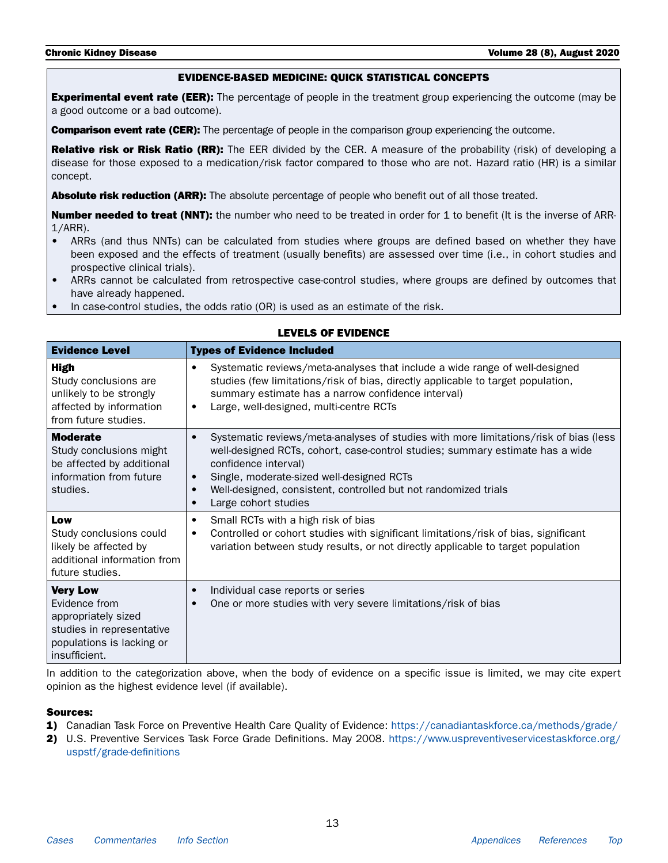# EVIDENCE-BASED MEDICINE: QUICK STATISTICAL CONCEPTS

**Experimental event rate (EER):** The percentage of people in the treatment group experiencing the outcome (may be a good outcome or a bad outcome).

**Comparison event rate (CER):** The percentage of people in the comparison group experiencing the outcome.

Relative risk or Risk Ratio (RR): The EER divided by the CER. A measure of the probability (risk) of developing a disease for those exposed to a medication/risk factor compared to those who are not. Hazard ratio (HR) is a similar concept.

**Absolute risk reduction (ARR):** The absolute percentage of people who benefit out of all those treated.

Number needed to treat (NNT): the number who need to be treated in order for 1 to benefit (It is the inverse of ARR-1/ARR).

- ARRs (and thus NNTs) can be calculated from studies where groups are defined based on whether they have been exposed and the effects of treatment (usually benefits) are assessed over time (i.e., in cohort studies and prospective clinical trials).
- ARRs cannot be calculated from retrospective case-control studies, where groups are defined by outcomes that have already happened.

LEVELS OF EVIDENCE

• In case-control studies, the odds ratio (OR) is used as an estimate of the risk.

| <b>Evidence Level</b>                                                                                                              | <b>Types of Evidence Included</b>                                                                                                                                                                                                                                                                                                                                                         |
|------------------------------------------------------------------------------------------------------------------------------------|-------------------------------------------------------------------------------------------------------------------------------------------------------------------------------------------------------------------------------------------------------------------------------------------------------------------------------------------------------------------------------------------|
| <b>High</b><br>Study conclusions are<br>unlikely to be strongly<br>affected by information<br>from future studies.                 | Systematic reviews/meta-analyses that include a wide range of well-designed<br>$\bullet$<br>studies (few limitations/risk of bias, directly applicable to target population,<br>summary estimate has a narrow confidence interval)<br>Large, well-designed, multi-centre RCTs<br>$\bullet$                                                                                                |
| <b>Moderate</b><br>Study conclusions might<br>be affected by additional<br>information from future<br>studies.                     | Systematic reviews/meta-analyses of studies with more limitations/risk of bias (less<br>$\bullet$<br>well-designed RCTs, cohort, case-control studies; summary estimate has a wide<br>confidence interval)<br>Single, moderate-sized well-designed RCTs<br>$\bullet$<br>Well-designed, consistent, controlled but not randomized trials<br>$\bullet$<br>Large cohort studies<br>$\bullet$ |
| Low<br>Study conclusions could<br>likely be affected by<br>additional information from<br>future studies.                          | Small RCTs with a high risk of bias<br>٠<br>Controlled or cohort studies with significant limitations/risk of bias, significant<br>٠<br>variation between study results, or not directly applicable to target population                                                                                                                                                                  |
| <b>Very Low</b><br>Evidence from<br>appropriately sized<br>studies in representative<br>populations is lacking or<br>insufficient. | Individual case reports or series<br>$\bullet$<br>One or more studies with very severe limitations/risk of bias                                                                                                                                                                                                                                                                           |

In addition to the categorization above, when the body of evidence on a specific issue is limited, we may cite expert opinion as the highest evidence level (if available).

# Sources:

- 1) Canadian Task Force on Preventive Health Care Quality of Evidence: <https://canadiantaskforce.ca/methods/grade/>
- 2) U.S. Preventive Services Task Force Grade Definitions. May 2008. [https://www.uspreventiveservicestaskforce.org/](https://www.uspreventiveservicestaskforce.org/uspstf/grade-definitions) [uspstf/grade-definitions](https://www.uspreventiveservicestaskforce.org/uspstf/grade-definitions)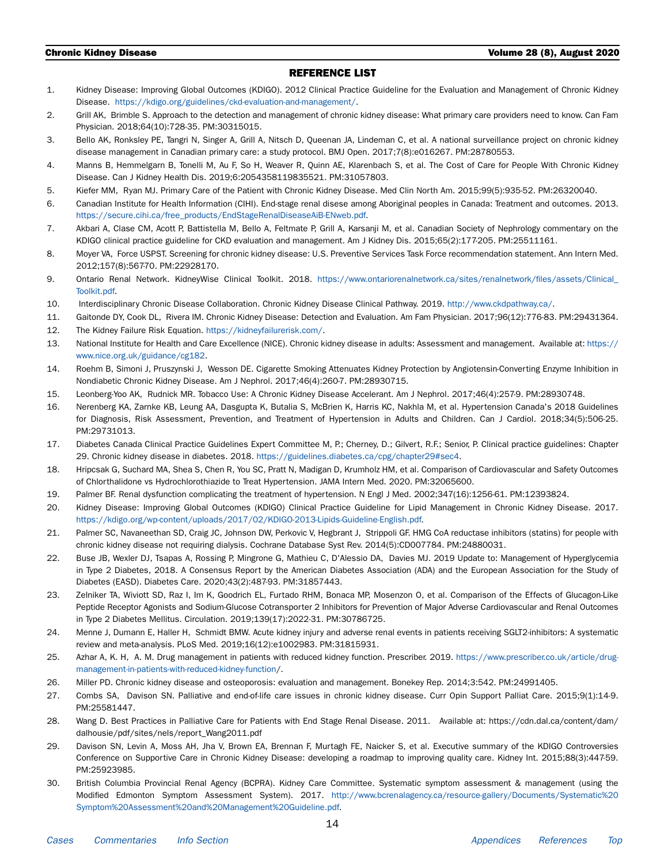# <span id="page-13-0"></span>REFERENCE LIST

- 1. Kidney Disease: Improving Global Outcomes (KDIGO). 2012 Clinical Practice Guideline for the Evaluation and Management of Chronic Kidney Disease. https://kdigo.org/guidelines/ckd-evaluation-and-management/.
- 2. Grill AK, Brimble S. Approach to the detection and management of chronic kidney disease: What primary care providers need to know. Can Fam Physician. 2018;64(10):728-35. PM:30315015.
- 3. Bello AK, Ronksley PE, Tangri N, Singer A, Grill A, Nitsch D, Queenan JA, Lindeman C, et al. A national surveillance project on chronic kidney disease management in Canadian primary care: a study protocol. BMJ Open. 2017;7(8):e016267. PM:28780553.
- 4. Manns B, Hemmelgarn B, Tonelli M, Au F, So H, Weaver R, Quinn AE, Klarenbach S, et al. The Cost of Care for People With Chronic Kidney Disease. Can J Kidney Health Dis. 2019;6:2054358119835521. PM:31057803.
- 5. Kiefer MM, Ryan MJ. Primary Care of the Patient with Chronic Kidney Disease. Med Clin North Am. 2015;99(5):935-52. PM:26320040.
- 6. Canadian Institute for Health Information (CIHI). End-stage renal disese among Aboriginal peoples in Canada: Treatment and outcomes. 2013. https://secure.cihi.ca/free\_products/EndStageRenalDiseaseAiB-ENweb.pdf.
- 7. Akbari A, Clase CM, Acott P, Battistella M, Bello A, Feltmate P, Grill A, Karsanji M, et al. Canadian Society of Nephrology commentary on the KDIGO clinical practice guideline for CKD evaluation and management. Am J Kidney Dis. 2015;65(2):177-205. PM:25511161.
- 8. Moyer VA, Force USPST. Screening for chronic kidney disease: U.S. Preventive Services Task Force recommendation statement. Ann Intern Med. 2012;157(8):567-70. PM:22928170.
- 9. Ontario Renal Network. KidneyWise Clinical Toolkit. 2018. [https://www.ontariorenalnetwork.ca/sites/renalnetwork/files/assets/Clinical\\_](https://www.ontariorenalnetwork.ca/sites/renalnetwork/files/assets/Clinical_Toolkit.pdf) [Toolkit.pdf.](https://www.ontariorenalnetwork.ca/sites/renalnetwork/files/assets/Clinical_Toolkit.pdf)
- 10. Interdisciplinary Chronic Disease Collaboration. Chronic Kidney Disease Clinical Pathway. 2019. http://www.ckdpathway.ca/.
- 11. Gaitonde DY, Cook DL, Rivera IM. Chronic Kidney Disease: Detection and Evaluation. Am Fam Physician. 2017;96(12):776-83. PM:29431364.
- 12. The Kidney Failure Risk Equation. https://kidneyfailurerisk.com/.
- 13. National Institute for Health and Care Excellence (NICE). Chronic kidney disease in adults: Assessment and management. Available at: https:// www.nice.org.uk/guidance/cg182.
- 14. Roehm B, Simoni J, Pruszynski J, Wesson DE. Cigarette Smoking Attenuates Kidney Protection by Angiotensin-Converting Enzyme Inhibition in Nondiabetic Chronic Kidney Disease. Am J Nephrol. 2017;46(4):260-7. PM:28930715.
- 15. Leonberg-Yoo AK, Rudnick MR. Tobacco Use: A Chronic Kidney Disease Accelerant. Am J Nephrol. 2017;46(4):257-9. PM:28930748.
- 16. Nerenberg KA, Zarnke KB, Leung AA, Dasgupta K, Butalia S, McBrien K, Harris KC, Nakhla M, et al. Hypertension Canada's 2018 Guidelines for Diagnosis, Risk Assessment, Prevention, and Treatment of Hypertension in Adults and Children. Can J Cardiol. 2018;34(5):506-25. PM:29731013.
- 17. Diabetes Canada Clinical Practice Guidelines Expert Committee M, P.; Cherney, D.; Gilvert, R.F.; Senior, P. Clinical practice guidelines: Chapter 29. Chronic kidney disease in diabetes. 2018. https://guidelines.diabetes.ca/cpg/chapter29#sec4.
- 18. Hripcsak G, Suchard MA, Shea S, Chen R, You SC, Pratt N, Madigan D, Krumholz HM, et al. Comparison of Cardiovascular and Safety Outcomes of Chlorthalidone vs Hydrochlorothiazide to Treat Hypertension. JAMA Intern Med. 2020. PM:32065600.
- 19. Palmer BF. Renal dysfunction complicating the treatment of hypertension. N Engl J Med. 2002;347(16):1256-61. PM:12393824.
- 20. Kidney Disease: Improving Global Outcomes (KDIGO) Clinical Practice Guideline for Lipid Management in Chronic Kidney Disease. 2017. https://kdigo.org/wp-content/uploads/2017/02/KDIGO-2013-Lipids-Guideline-English.pdf.
- 21. Palmer SC, Navaneethan SD, Craig JC, Johnson DW, Perkovic V, Hegbrant J, Strippoli GF. HMG CoA reductase inhibitors (statins) for people with chronic kidney disease not requiring dialysis. Cochrane Database Syst Rev. 2014(5):CD007784. PM:24880031.
- 22. Buse JB, Wexler DJ, Tsapas A, Rossing P, Mingrone G, Mathieu C, D'Alessio DA, Davies MJ. 2019 Update to: Management of Hyperglycemia in Type 2 Diabetes, 2018. A Consensus Report by the American Diabetes Association (ADA) and the European Association for the Study of Diabetes (EASD). Diabetes Care. 2020;43(2):487-93. PM:31857443.
- 23. Zelniker TA, Wiviott SD, Raz I, Im K, Goodrich EL, Furtado RHM, Bonaca MP, Mosenzon O, et al. Comparison of the Effects of Glucagon-Like Peptide Receptor Agonists and Sodium-Glucose Cotransporter 2 Inhibitors for Prevention of Major Adverse Cardiovascular and Renal Outcomes in Type 2 Diabetes Mellitus. Circulation. 2019;139(17):2022-31. PM:30786725.
- 24. Menne J, Dumann E, Haller H, Schmidt BMW. Acute kidney injury and adverse renal events in patients receiving SGLT2-inhibitors: A systematic review and meta-analysis. PLoS Med. 2019;16(12):e1002983. PM:31815931.
- 25. Azhar A, K. H, A. M. Drug management in patients with reduced kidney function. Prescriber. 2019. https://www.prescriber.co.uk/article/drugmanagement-in-patients-with-reduced-kidney-function/.
- 26. Miller PD. Chronic kidney disease and osteoporosis: evaluation and management. Bonekey Rep. 2014;3:542. PM:24991405.
- 27. Combs SA, Davison SN. Palliative and end-of-life care issues in chronic kidney disease. Curr Opin Support Palliat Care. 2015;9(1):14-9. PM:25581447.
- 28. Wang D. Best Practices in Palliative Care for Patients with End Stage Renal Disease. 2011. Available at: https://cdn.dal.ca/content/dam/ dalhousie/pdf/sites/nels/report\_Wang2011.pdf
- 29. Davison SN, Levin A, Moss AH, Jha V, Brown EA, Brennan F, Murtagh FE, Naicker S, et al. Executive summary of the KDIGO Controversies Conference on Supportive Care in Chronic Kidney Disease: developing a roadmap to improving quality care. Kidney Int. 2015;88(3):447-59. PM:25923985.
- 30. British Columbia Provincial Renal Agency (BCPRA). Kidney Care Committee. Systematic symptom assessment & management (using the Modified Edmonton Symptom Assessment System). 2017. [http://www.bcrenalagency.ca/resource-gallery/Documents/Systematic%20](http://www.bcrenalagency.ca/resource-gallery/Documents/Systematic%20Symptom%20Assessment%20and%20Management%20Guideline.pdf) [Symptom%20Assessment%20and%20Management%20Guideline.pdf.](http://www.bcrenalagency.ca/resource-gallery/Documents/Systematic%20Symptom%20Assessment%20and%20Management%20Guideline.pdf)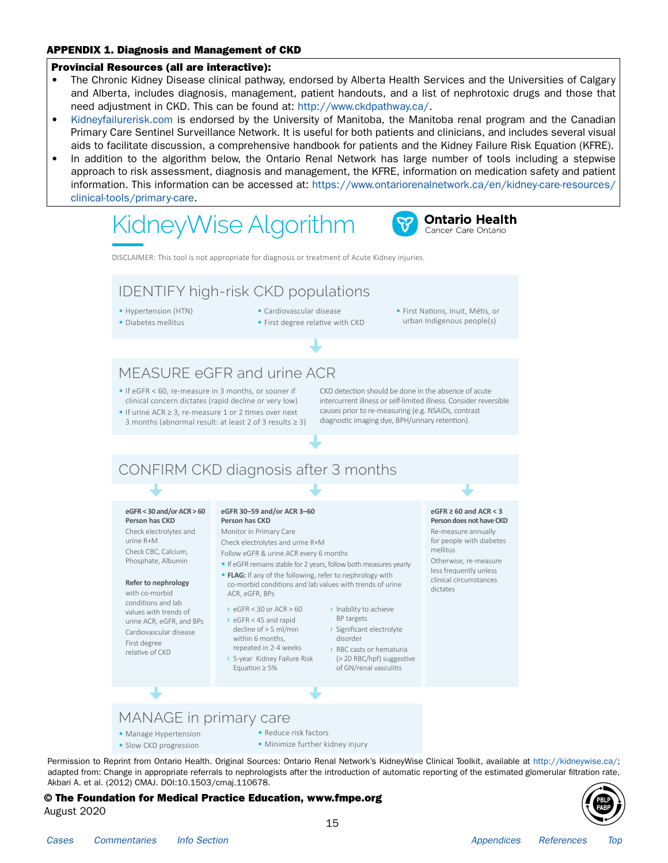# <span id="page-14-0"></span>APPENDIX 1. Diagnosis and Management of CKD

# Provincial Resources (all are interactive):

- The Chronic Kidney Disease clinical pathway, endorsed by Alberta Health Services and the Universities of Calgary and Alberta, includes diagnosis, management, patient handouts, and a list of nephrotoxic drugs and those that need adjustment in CKD. This can be found at: <http://www.ckdpathway.ca/>.
- [Kidneyfailurerisk.com](http://Kidneyfailurerisk.com) is endorsed by the University of Manitoba, the Manitoba renal program and the Canadian Primary Care Sentinel Surveillance Network. It is useful for both patients and clinicians, and includes several visual aids to facilitate discussion, a comprehensive handbook for patients and the Kidney Failure Risk Equation (KFRE).
- In addition to the algorithm below, the Ontario Renal Network has large number of tools including a stepwise approach to risk assessment, diagnosis and management, the KFRE, information on medication safety and patient information. This information can be accessed at: [https://www.ontariorenalnetwork.ca/en/kidney-care-resources/](https://www.ontariorenalnetwork.ca/en/kidney-care-resources/clinical-tools/primary-care) [clinical-tools/primary-care](https://www.ontariorenalnetwork.ca/en/kidney-care-resources/clinical-tools/primary-care).



Permission to Reprint from Ontario Health. Original Sources: Ontario Renal Network's KidneyWise Clinical Toolkit, available at <http://kidneywise.ca/>; adapted from: Change in appropriate referrals to nephrologists after the introduction of automatic reporting of the estimated glomerular filtration rate, Akbari A. et al. (2012) CMAJ. DOI:10.1503/cmaj.110678.

# © The Foundation for Medical Practice Education, www.fmpe.org August 2020

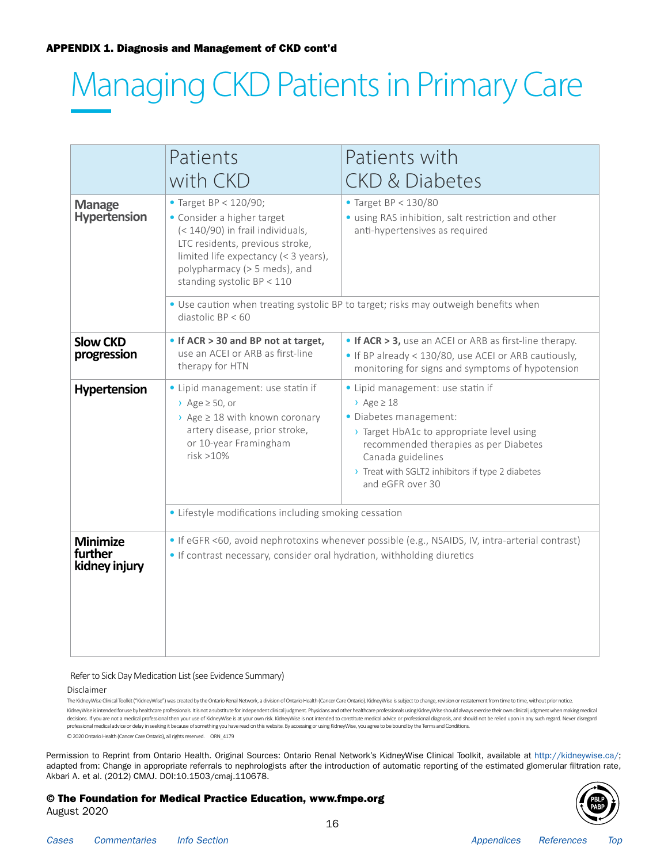# Managing CKD Patients in Primary Care

|                                             | Patients<br>with CKD                                                                                                                                                                                                             | Patients with<br><b>CKD &amp; Diabetes</b>                                                                                                                                                                                                                                    |  |  |  |
|---------------------------------------------|----------------------------------------------------------------------------------------------------------------------------------------------------------------------------------------------------------------------------------|-------------------------------------------------------------------------------------------------------------------------------------------------------------------------------------------------------------------------------------------------------------------------------|--|--|--|
| <b>Manage</b><br><b>Hypertension</b>        | • Target BP < 120/90;<br>• Consider a higher target<br>(< 140/90) in frail individuals,<br>LTC residents, previous stroke,<br>limited life expectancy (< 3 years),<br>polypharmacy (> 5 meds), and<br>standing systolic BP < 110 | • Target $BP < 130/80$<br>· using RAS inhibition, salt restriction and other<br>anti-hypertensives as required<br>• Use caution when treating systolic BP to target; risks may outweigh benefits when                                                                         |  |  |  |
|                                             | diastolic $BP < 60$                                                                                                                                                                                                              |                                                                                                                                                                                                                                                                               |  |  |  |
| <b>Slow CKD</b><br>progression              | • If ACR > 30 and BP not at target,<br>use an ACEI or ARB as first-line<br>therapy for HTN                                                                                                                                       | • If ACR > 3, use an ACEI or ARB as first-line therapy.<br>• If BP already < 130/80, use ACEI or ARB cautiously,<br>monitoring for signs and symptoms of hypotension                                                                                                          |  |  |  |
| Hypertension                                | · Lipid management: use statin if<br>$\rightarrow$ Age $\ge$ 50, or<br>$\rightarrow$ Age $\geq$ 18 with known coronary<br>artery disease, prior stroke,<br>or 10-year Framingham<br>$risk > 10\%$                                | · Lipid management: use statin if<br>$\rightarrow$ Age $\geq$ 18<br>· Diabetes management:<br>> Target HbA1c to appropriate level using<br>recommended therapies as per Diabetes<br>Canada guidelines<br>> Treat with SGLT2 inhibitors if type 2 diabetes<br>and eGFR over 30 |  |  |  |
|                                             | • Lifestyle modifications including smoking cessation                                                                                                                                                                            |                                                                                                                                                                                                                                                                               |  |  |  |
| <b>Minimize</b><br>further<br>kidney injury | . If contrast necessary, consider oral hydration, withholding diuretics                                                                                                                                                          | • If eGFR <60, avoid nephrotoxins whenever possible (e.g., NSAIDS, IV, intra-arterial contrast)                                                                                                                                                                               |  |  |  |

Refer to Sick Day Medication List (see Evidence Summary)

© The Foundation for Medical Practice Education, www.fmpe.org

### Disclaimer

August 2020

The KidneyWise Clinical Toolkit ("KidneyWise") was created by the Ontario Renal Network, a division of Ontario Health (Cancer Care Ontario). KidneyWise is subject to change, revision or restatement from time to time, witho KidneyWise is intended for use by healthcare professionals. It is not a substitute for independent clinical judgment. Physicians and other healthcare professionals using KidneyWise should always exercise their own clinical decisions. If you are not call the professional the your use of KidneyWise is at your own risk KidneyWise is not intended to constitute medical advice medical advice medical advice on the students and students and students professional medical advice or delay in seeking it because of something you have read on this website. By accessing or using KidneyWise, you agree to be bound by the Terms and Conditions. .<br>© 2020 Ontario Health (Cancer Care Ontario), all rights reserved. ORN 4179

KidneyWise is intended for use by healthcare professionals. It is not a substitute for independent clinical judgment. Physicians and other healthcare professionals using KidneyWise should always exercise their own clinical judgment when making medical

Permission to Reprint from Ontario Health. Original Sources: Ontario Renal Network's KidneyWise Clinical Toolkit, available at <http://kidneywise.ca/>; adapted from: Change in appropriate referrals to nephrologists after the introduction of automatic reporting of the estimated glomerular filtration rate, Akbari A. et al. (2012) CMAJ. DOI:10.1503/cmaj.110678.

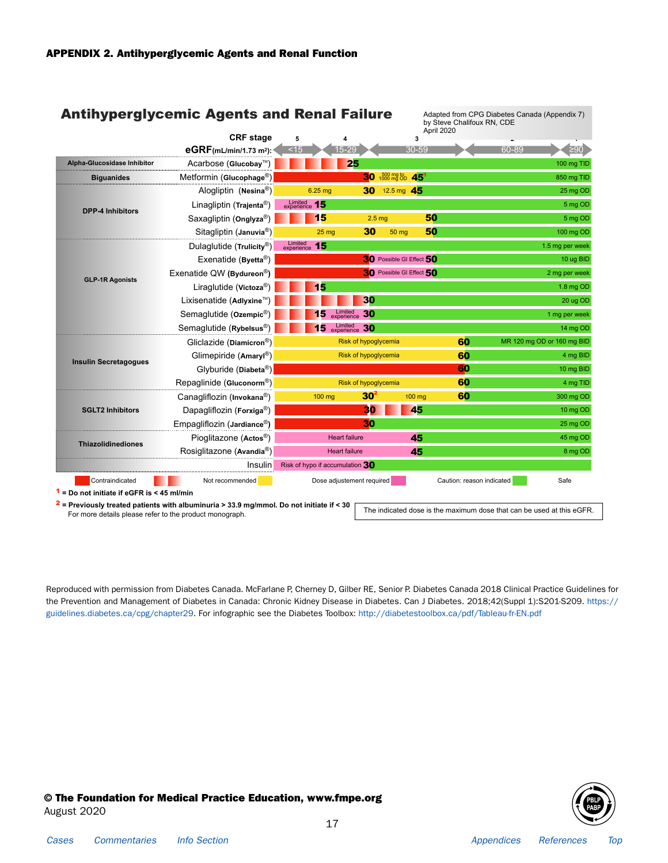# <span id="page-16-0"></span>Antihyperglycemic Agents and Renal Failure

|                                                       |                                        |                                 |                                                                        | April 2020 | by Steve Chalifoux RN, CDE |                            |                     |
|-------------------------------------------------------|----------------------------------------|---------------------------------|------------------------------------------------------------------------|------------|----------------------------|----------------------------|---------------------|
|                                                       | <b>CRF</b> stage                       | 5<br>4                          |                                                                        | 3          |                            |                            |                     |
|                                                       | eGRF(mL/min/1.73 m <sup>2</sup> ):     | $5 - 29$                        |                                                                        | $30 - 59$  |                            | 60-89                      | $\overline{\geq}90$ |
| Alpha-Glucosidase Inhibitor                           | Acarbose (Glucobay™)                   | 25                              |                                                                        |            |                            |                            | 100 mg TID          |
| <b>Biguanides</b>                                     | Metformin (Glucophage <sup>®</sup> )   |                                 | $_{1000 \text{ mg}}^{500 \text{ mg} \text{ to}}$ 45 <sup>1</sup><br>30 |            |                            |                            | 850 mg TID          |
|                                                       | Alogliptin (Nesina <sup>®</sup> )      | 6.25 mg                         | 12.5 mg $45$<br>30                                                     |            |                            |                            | 25 mg OD            |
| <b>DPP-4 Inhibitors</b>                               | Linagliptin (Trajenta <sup>®</sup> )   | Limited 15                      |                                                                        |            |                            |                            | 5 mg OD             |
|                                                       | Saxagliptin (Onglyza <sup>®</sup> )    | 15                              | 2.5 <sub>mg</sub>                                                      | 50         |                            |                            | 5 mg OD             |
|                                                       | Sitagliptin (Januvia <sup>®</sup> )    | 25 <sub>mg</sub>                | 30<br>50 mg                                                            | 50         |                            |                            | 100 mg OD           |
|                                                       | Dulaglutide (Trulicity <sup>®</sup> )  | Limited<br>experience<br>15     |                                                                        |            |                            |                            | 1.5 mg per week     |
|                                                       | Exenatide (Byetta®)                    |                                 | 30 Possible GI Effect 50                                               |            |                            |                            | 10 ug BID           |
|                                                       | Exenatide QW (Bydureon <sup>®</sup> )  |                                 | 30 Possible GI Effect 50                                               |            |                            |                            | 2 mg per week       |
| <b>GLP-1R Agonists</b>                                | Liraglutide (Victoza <sup>®</sup> )    | 15                              |                                                                        |            |                            |                            | 1.8 mg OD           |
|                                                       | Lixisenatide (Adlyxine™)               |                                 | 30                                                                     |            |                            |                            | 20 ug OD            |
|                                                       | Semaglutide (Ozempic®)                 | Limited<br>experience<br>5      | 30                                                                     |            |                            |                            | 1 mg per week       |
|                                                       | Semaglutide (Rybelsus <sup>®</sup> )   | Limited 30<br>15                |                                                                        |            |                            |                            | 14 mg OD            |
|                                                       | Gliclazide (Diamicron <sup>®</sup> )   |                                 | Risk of hypoglycemia                                                   |            | 60                         | MR 120 mg OD or 160 mg BID |                     |
|                                                       | Glimepiride (Amaryl®)                  |                                 | Risk of hypoglycemia                                                   |            | 60                         |                            | 4 mg BID            |
| <b>Insulin Secretagogues</b>                          | Glyburide (Diabeta <sup>®</sup> )      |                                 |                                                                        |            | 60                         |                            | 10 mg BID           |
|                                                       | Repaglinide (Gluconorm <sup>®</sup> )  |                                 | Risk of hypoglycemia                                                   |            | 60                         |                            | 4 mg TID            |
|                                                       | Canagliflozin (Invokana <sup>®</sup> ) | 100 mg                          | 30 <sup>2</sup>                                                        | 100 mg     | 60                         |                            | 300 mg OD           |
| <b>SGLT2 Inhibitors</b>                               | Dapagliflozin (Forxiga <sup>®</sup> )  |                                 | 30                                                                     | 45         |                            |                            | 10 mg OD            |
|                                                       | Empagliflozin (Jardiance®)             |                                 | 30                                                                     |            |                            |                            | 25 mg OD            |
| <b>Thiazolidinediones</b>                             | Pioglitazone (Actos <sup>®</sup> )     | <b>Heart failure</b>            |                                                                        | 45         |                            |                            | 45 mg OD            |
|                                                       | Rosiglitazone (Avandia <sup>®</sup> )  | <b>Heart failure</b>            |                                                                        | 45         |                            |                            | 8 mg OD             |
|                                                       | Insulin                                | Risk of hypo if accumulation 30 |                                                                        |            |                            |                            |                     |
| Contraindicated                                       | Not recommended                        | Dose adjustement required       |                                                                        |            | Caution: reason indicated  |                            | Safe                |
| <sup>1</sup> = Do not initiate if eGFR is < 45 ml/min |                                        |                                 |                                                                        |            |                            |                            |                     |

For more details please refer to the product monograph.

The indicated dose is the maximum dose that can be used at this eGFR.

Reproduced with permission from Diabetes Canada. McFarlane P, Cherney D, Gilber RE, Senior P. Diabetes Canada 2018 Clinical Practice Guidelines for the Prevention and Management of Diabetes in Canada: Chronic Kidney Disease in Diabetes. Can J Diabetes. 2018;42(Suppl 1):S201-S209. [https://](https://guidelines.diabetes.ca/cpg/chapter29) [guidelines.diabetes.ca/cpg/chapter29](https://guidelines.diabetes.ca/cpg/chapter29). For infographic see the Diabetes Toolbox: <http://diabetestoolbox.ca/pdf/Tableau-fr-EN.pdf>

© The Foundation for Medical Practice Education, www.fmpe.org August 2020